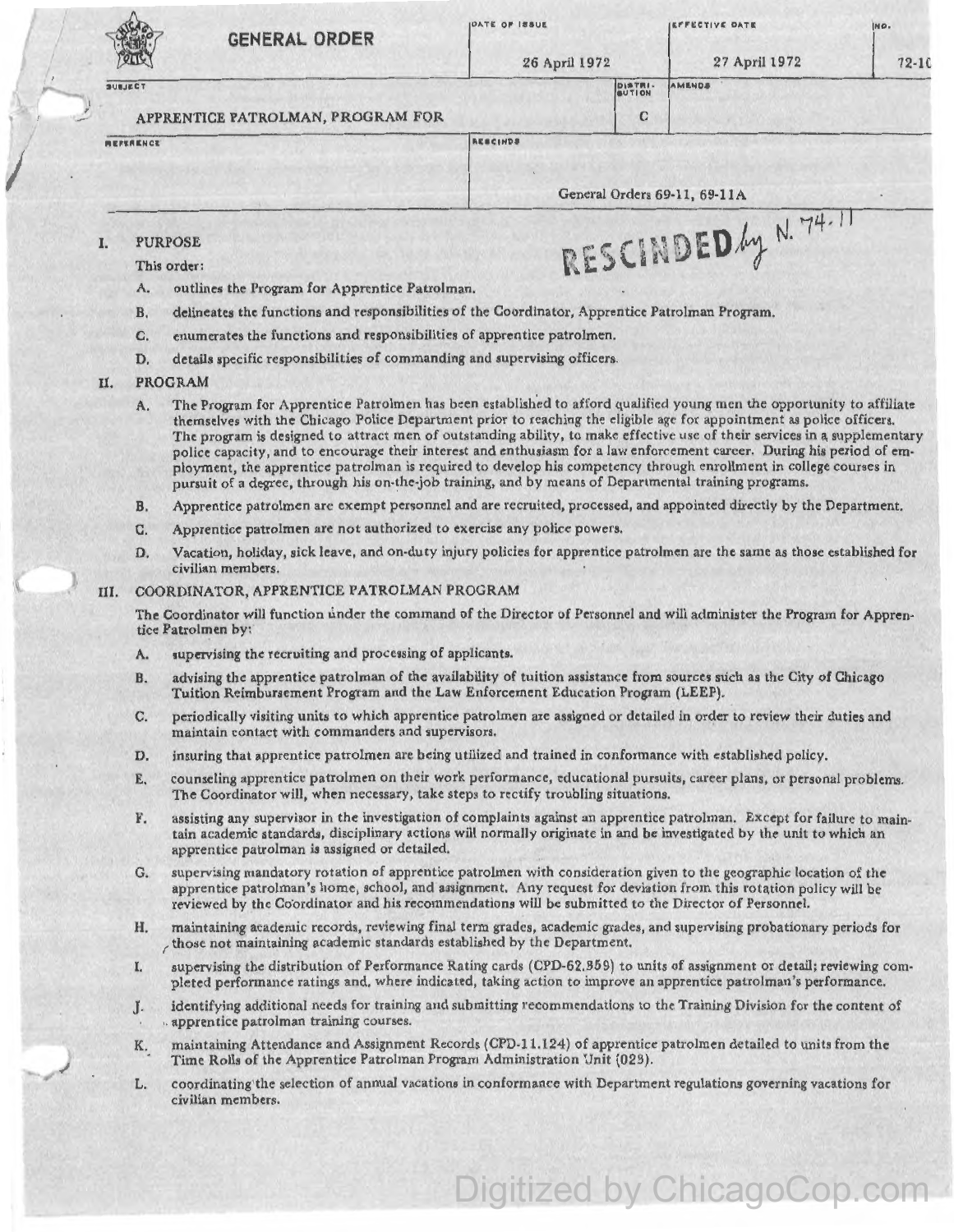| <b>GENERAL ORDER</b>                                                                                                                                                                                  | <b>IDATE OF ISSUE</b><br>26 April 1972 |                   | <b>EFFECTIVE DATE</b><br>27 April 1972 | INO.<br>$72-10$ |
|-------------------------------------------------------------------------------------------------------------------------------------------------------------------------------------------------------|----------------------------------------|-------------------|----------------------------------------|-----------------|
| SUBJECT                                                                                                                                                                                               |                                        | DISTRI-<br>SUTION | AMENDS                                 |                 |
| APPRENTICE PATROLMAN, PROGRAM FOR                                                                                                                                                                     |                                        | C                 |                                        |                 |
| <b>MEFERENCE</b>                                                                                                                                                                                      | RESCINDS                               |                   | General Orders 69-11, 69-11A           |                 |
| <b>PURPOSE</b><br>This order:<br>outlines the Program for Apprentice Patrolman.<br>A.<br>delineates the functions and responsibilities of the Goordinator, Apprentice Patrolman Program.<br><b>B.</b> |                                        |                   | RESCINDED 4y N. 74-11                  |                 |
| enumerates the functions and responsibilities of apprentice patrolmen.<br>C.                                                                                                                          |                                        |                   |                                        |                 |

D. details specific responsibilities of commanding and supervising officers.

## II. PROGRAM

- A. The Program for Apprentice Patrolmen has been established to afford qualified young men the opportunity to affiliate themselves with the Chicago Police Department prior to reaching the eligible age for appointment as police officers. The program is designed to attract men of outstanding ability, to make effective use of their services in a supplementary police capacity, and to encourage their interest and enthusiasm for a law enforcement career. During his period of employment, the apprentice patrolman is required to develop his competency through enrollment in college courses in pursuit of a degree, through his on-the-job training, and by means of Departmental training programs.
- B. Apprentice patrolmen arc exempt personnel and are recruited, processed, and appointed directly by the Department.
- C. Apprentice patrolmen are not authorized to exercise any police powers.
- D. Vacation, holiday, sick leave, and on-duty injury policies for apprentice patrolmen arc the same as those established for civilian members.

## 111. COORDINATOR, APPRENTICE PATROLMAN PROGRAM

The Coordinator will function under the command of the Director of Personnel and will administer the Program for Apprentice Patrolmen by:

- A. supervising the recruiting and processing of applicants.
- B. advising the apprentice patrolman of the availability of tuition assistance from sources such as the City of Chicago Tuition Reimbursement Program and the Law Enforcement Education Program (LEEP).
- c. periodically visiting units to which apprentice patrolmen are assigned or detailed in order to review their duties and maintain contact with commanders and supervisors.
- D. insuring that apprentice patrolmen arc being utilized and trained in conformance with established policy.
- E. counseling apprentice patrolmen on their work performance, educational pursuits, career plans, or personal problems. The Coordinator will, when necessary, take steps to rectify troubling situations.
- F. assisting any supervisor in the investigation of complaints against an apprentice patrolman. Except for failure to maintain academic standards, disciplinary actions will normally originate in and be investigated by the unit to which an apprentice patrolman is assigned or detailed.
- G. supervising mandatory rotation of apprentice patrolmen with consideration given to the geographic location of the apprentice patrolman's home, school, and assignment. Any request for deviation from this rotation policy will be reviewed by the Coordinator and his recommendations will be submitted to the Director of Personnel.
- H. maintaining academic records, reviewing final term grades, academic grades, and supervising probationary periods for *r* those not maintaining academic standards established by the Department.
- I. supervising the distribution of Performance Rating cards (CPD-62.359) to units of assignment or detail; reviewing completed performance ratings and, where indicated, taking action to improve an apprentice patrolman's performance.
- J. identifying additional needs for training and submitting recommendations to the Training Division for the content of apprentice patrolman training courses.
- K. 10aintaining Attendance and Assignment Records (CPD-11.124) of apprentice patrolmen detailed to units from the Time Rolls of the Apprentice Patrolman Program Administration Unit (023).
- L. coordinating'the selection of annual vacations in conformance with Department regulations governing vacations for civilian members.

Digitized by ChicagoCop.com